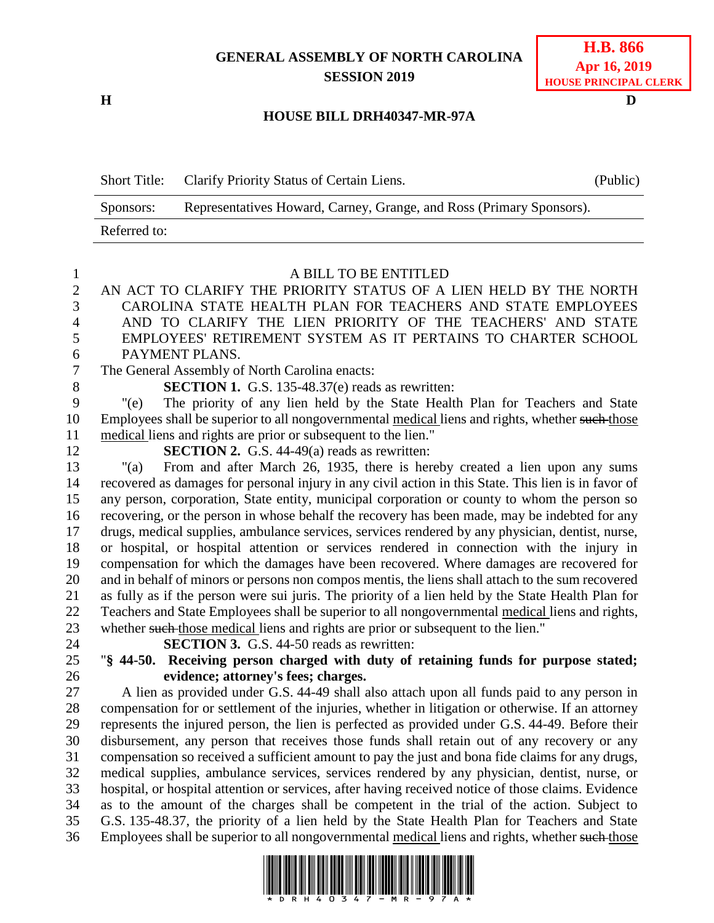## **GENERAL ASSEMBLY OF NORTH CAROLINA SESSION 2019**

## **HOUSE BILL DRH40347-MR-97A**

Short Title: Clarify Priority Status of Certain Liens. (Public)

**H D**

|              | Representatives Howard, Carney, Grange, and Ross (Primary Sponsors).<br>Sponsors:                                                                                                                |
|--------------|--------------------------------------------------------------------------------------------------------------------------------------------------------------------------------------------------|
|              | Referred to:                                                                                                                                                                                     |
|              |                                                                                                                                                                                                  |
| $\mathbf{1}$ | A BILL TO BE ENTITLED                                                                                                                                                                            |
| $\mathbf{2}$ | AN ACT TO CLARIFY THE PRIORITY STATUS OF A LIEN HELD BY THE NORTH                                                                                                                                |
| 3            | CAROLINA STATE HEALTH PLAN FOR TEACHERS AND STATE EMPLOYEES                                                                                                                                      |
| 4            | AND TO CLARIFY THE LIEN PRIORITY OF THE TEACHERS' AND STATE                                                                                                                                      |
| 5            | EMPLOYEES' RETIREMENT SYSTEM AS IT PERTAINS TO CHARTER SCHOOL                                                                                                                                    |
| 6            | PAYMENT PLANS.                                                                                                                                                                                   |
| 7            | The General Assembly of North Carolina enacts:                                                                                                                                                   |
| $8\,$        | <b>SECTION 1.</b> G.S. 135-48.37(e) reads as rewritten:                                                                                                                                          |
| 9            | The priority of any lien held by the State Health Plan for Teachers and State<br>" $(e)$                                                                                                         |
| 10           | Employees shall be superior to all nongovernmental medical liens and rights, whether such those                                                                                                  |
| 11           | medical liens and rights are prior or subsequent to the lien."                                                                                                                                   |
| 12           | <b>SECTION 2.</b> G.S. 44-49(a) reads as rewritten:                                                                                                                                              |
| 13           | From and after March 26, 1935, there is hereby created a lien upon any sums<br>" $(a)$                                                                                                           |
| 14           | recovered as damages for personal injury in any civil action in this State. This lien is in favor of                                                                                             |
| 15           | any person, corporation, State entity, municipal corporation or county to whom the person so                                                                                                     |
| 16           | recovering, or the person in whose behalf the recovery has been made, may be indebted for any                                                                                                    |
| 17           | drugs, medical supplies, ambulance services, services rendered by any physician, dentist, nurse,                                                                                                 |
| 18           | or hospital, or hospital attention or services rendered in connection with the injury in                                                                                                         |
| 19           | compensation for which the damages have been recovered. Where damages are recovered for                                                                                                          |
| 20           | and in behalf of minors or persons non compos mentis, the liens shall attach to the sum recovered                                                                                                |
| 21           | as fully as if the person were sui juris. The priority of a lien held by the State Health Plan for                                                                                               |
| 22           | Teachers and State Employees shall be superior to all nongovernmental medical liens and rights,                                                                                                  |
| 23           | whether such those medical liens and rights are prior or subsequent to the lien."                                                                                                                |
| 24           | <b>SECTION 3.</b> G.S. 44-50 reads as rewritten:                                                                                                                                                 |
| 25           | "§ 44-50. Receiving person charged with duty of retaining funds for purpose stated;                                                                                                              |
| 26           | evidence; attorney's fees; charges.                                                                                                                                                              |
| 27           | A lien as provided under G.S. 44-49 shall also attach upon all funds paid to any person in                                                                                                       |
| 28           | compensation for or settlement of the injuries, whether in litigation or otherwise. If an attorney                                                                                               |
| 29           | represents the injured person, the lien is perfected as provided under G.S. 44-49. Before their                                                                                                  |
| 30           | disbursement, any person that receives those funds shall retain out of any recovery or any                                                                                                       |
| 31           | compensation so received a sufficient amount to pay the just and bona fide claims for any drugs,                                                                                                 |
| 32           | medical supplies, ambulance services, services rendered by any physician, dentist, nurse, or                                                                                                     |
| 33           | hospital, or hospital attention or services, after having received notice of those claims. Evidence<br>as to the amount of the charges shall be competent in the trial of the action. Subject to |
| 34<br>35     | G.S. 135-48.37, the priority of a lien held by the State Health Plan for Teachers and State                                                                                                      |
| 36           | Employees shall be superior to all nongovernmental medical liens and rights, whether such those                                                                                                  |
|              |                                                                                                                                                                                                  |